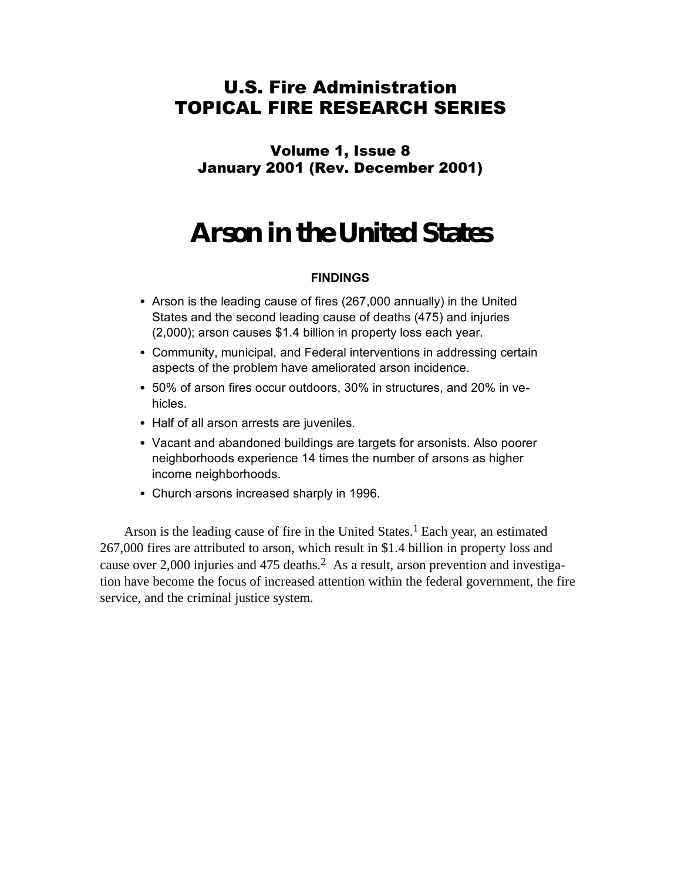## U.S. Fire Administration TOPICAL FIRE RESEARCH SERIES

Volume 1, Issue 8 January 2001 (Rev. December 2001)

# **Arson in the United States**

### **FINDINGS**

- Arson is the leading cause of fires (267,000 annually) in the United States and the second leading cause of deaths (475) and injuries (2,000); arson causes \$1.4 billion in property loss each year.
- Community, municipal, and Federal interventions in addressing certain aspects of the problem have ameliorated arson incidence.
- 50% of arson fires occur outdoors, 30% in structures, and 20% in vehicles.
- Half of all arson arrests are juveniles.
- Vacant and abandoned buildings are targets for arsonists. Also poorer neighborhoods experience 14 times the number of arsons as higher income neighborhoods.
- Church arsons increased sharply in 1996.

Arson is the leading cause of fire in the United States. 1 Each year, an estimated 267,000 fires are attributed to arson, which result in \$1.4 billion in property loss and cause over 2,000 injuries and 475 deaths. 2 As a result, arson prevention and investigation have become the focus of increased attention within the federal government, the fire service, and the criminal justice system.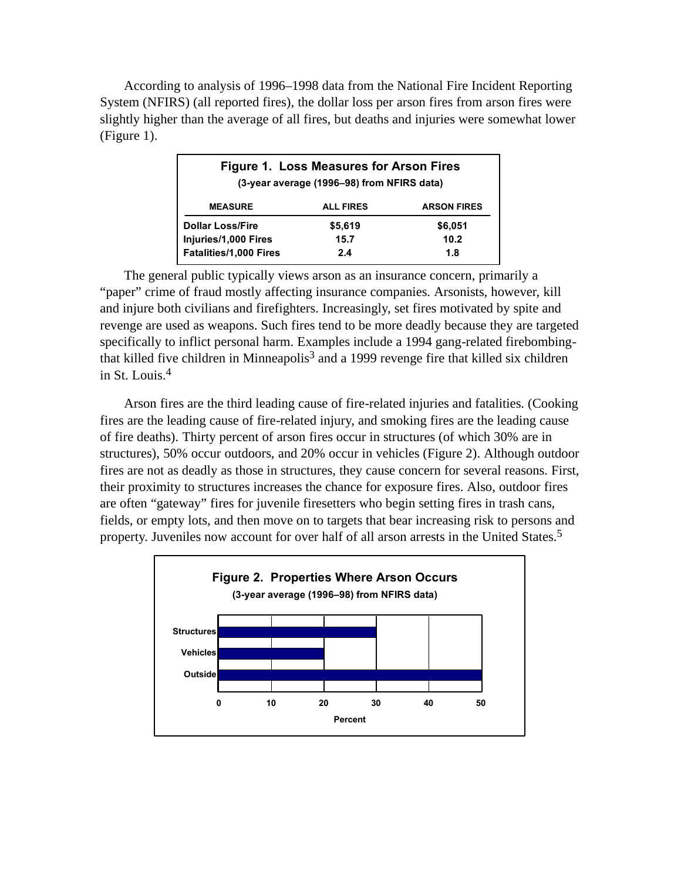According to analysis of 1996–1998 data from the National Fire Incident Reporting System (NFIRS) (all reported fires), the dollar loss per arson fires from arson fires were slightly higher than the average of all fires, but deaths and injuries were somewhat lower (Figure 1).

| Figure 1. Loss Measures for Arson Fires<br>(3-year average (1996–98) from NFIRS data) |                  |                    |
|---------------------------------------------------------------------------------------|------------------|--------------------|
| <b>MEASURE</b>                                                                        | <b>ALL FIRES</b> | <b>ARSON FIRES</b> |
| <b>Dollar Loss/Fire</b>                                                               | \$5,619          | \$6,051            |
| Injuries/1,000 Fires                                                                  | 15.7             | 10.2               |
| <b>Fatalities/1,000 Fires</b>                                                         | 2.4              | 1.8                |

The general public typically views arson as an insurance concern, primarily a "paper" crime of fraud mostly affecting insurance companies. Arsonists, however, kill and injure both civilians and firefighters. Increasingly, set fires motivated by spite and revenge are used as weapons. Such fires tend to be more deadly because they are targeted specifically to inflict personal harm. Examples include a 1994 gang-related firebombingthat killed five children in Minneapolis<sup>3</sup> and a 1999 revenge fire that killed six children in St. Louis. 4

Arson fires are the third leading cause of fire-related injuries and fatalities. (Cooking fires are the leading cause of fire-related injury, and smoking fires are the leading cause of fire deaths). Thirty percent of arson fires occur in structures (of which 30% are in structures), 50% occur outdoors, and 20% occur in vehicles (Figure 2). Although outdoor fires are not as deadly as those in structures, they cause concern for several reasons. First, their proximity to structures increases the chance for exposure fires. Also, outdoor fires are often "gateway" fires for juvenile firesetters who begin setting fires in trash cans, fields, or empty lots, and then move on to targets that bear increasing risk to persons and property. Juveniles now account for over half of all arson arrests in the United States. 5

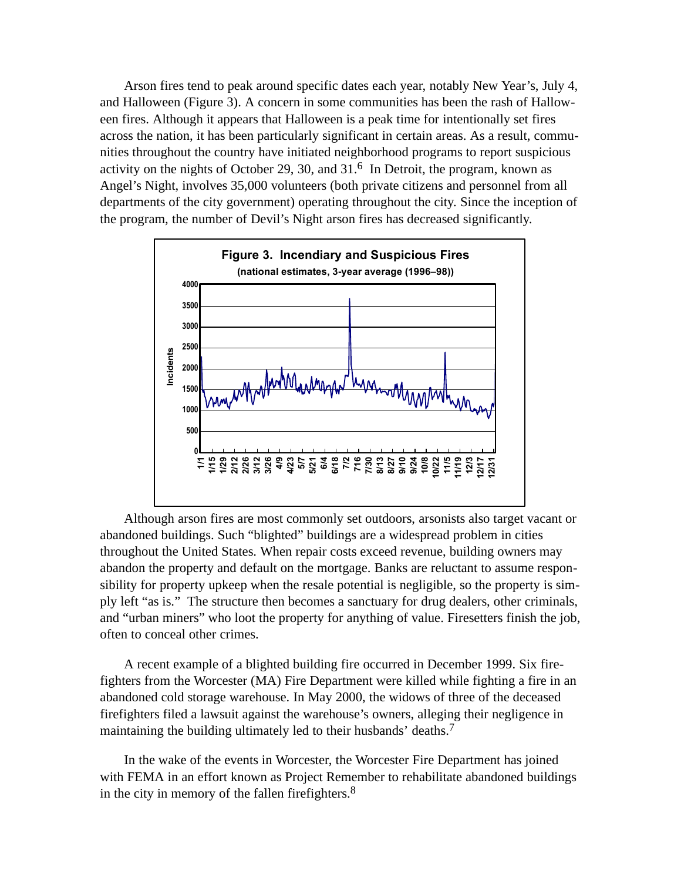Arson fires tend to peak around specific dates each year, notably New Year's, July 4, and Halloween (Figure 3). A concern in some communities has been the rash of Halloween fires. Although it appears that Halloween is a peak time for intentionally set fires across the nation, it has been particularly significant in certain areas. As a result, communities throughout the country have initiated neighborhood programs to report suspicious activity on the nights of October 29, 30, and  $31<sup>6</sup>$  In Detroit, the program, known as Angel's Night, involves 35,000 volunteers (both private citizens and personnel from all departments of the city government) operating throughout the city. Since the inception of the program, the number of Devil's Night arson fires has decreased significantly.



Although arson fires are most commonly set outdoors, arsonists also target vacant or abandoned buildings. Such "blighted" buildings are a widespread problem in cities throughout the United States. When repair costs exceed revenue, building owners may abandon the property and default on the mortgage. Banks are reluctant to assume responsibility for property upkeep when the resale potential is negligible, so the property is simply left "as is." The structure then becomes a sanctuary for drug dealers, other criminals, and "urban miners" who loot the property for anything of value. Firesetters finish the job, often to conceal other crimes.

A recent example of a blighted building fire occurred in December 1999. Six firefighters from the Worcester (MA) Fire Department were killed while fighting a fire in an abandoned cold storage warehouse. In May 2000, the widows of three of the deceased firefighters filed a lawsuit against the warehouse's owners, alleging their negligence in maintaining the building ultimately led to their husbands' deaths.<sup>7</sup>

In the wake of the events in Worcester, the Worcester Fire Department has joined with FEMA in an effort known as Project Remember to rehabilitate abandoned buildings in the city in memory of the fallen firefighters.<sup>8</sup>